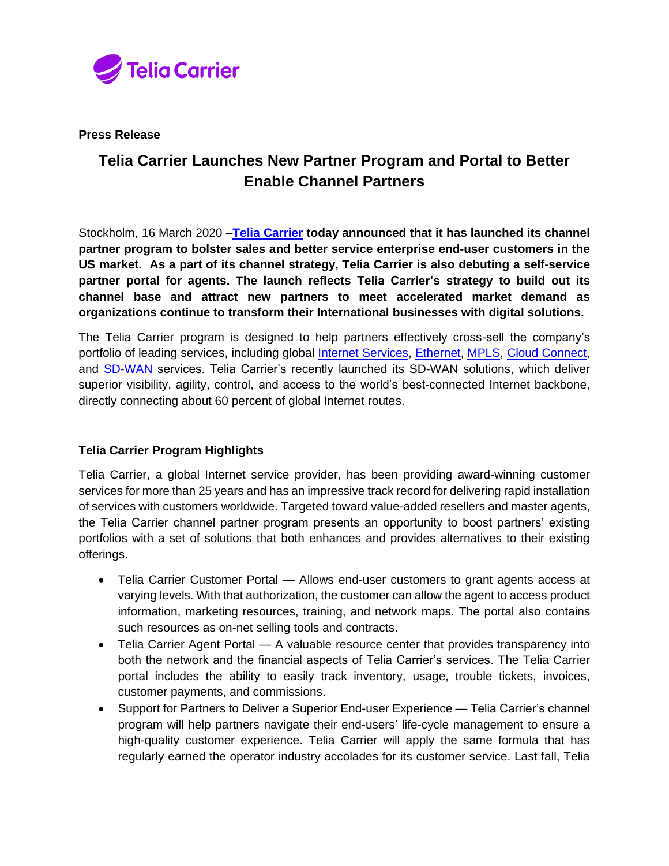

**Press Release**

## **Telia Carrier Launches New Partner Program and Portal to Better Enable Channel Partners**

Stockholm, 16 March 2020 **[–Telia Carrier](https://www.teliacarrier.com/) today announced that it has launched its channel partner program to bolster sales and better service enterprise end-user customers in the US market. As a part of its channel strategy, Telia Carrier is also debuting a self-service partner portal for agents. The launch reflects Telia Carrier's strategy to build out its channel base and attract new partners to meet accelerated market demand as organizations continue to transform their International businesses with digital solutions.**

The Telia Carrier program is designed to help partners effectively cross-sell the company's portfolio of leading services, including global [Internet Services,](https://www.teliacarrier.com/products-and-services/internet-and-cloud/ip-transit.html) [Ethernet,](https://www.teliacarrier.com/products-and-services/Networking/ethernet.html) [MPLS,](https://www.teliacarrier.com/products-and-services/Networking/smart-ip-vpn.html) [Cloud Connect,](https://www.teliacarrier.com/products-and-services/internet-and-cloud/cloud-connect.html) and [SD-WAN](https://www.teliacarrier.com/products-and-services/Networking/sd-wan.html) services. Telia Carrier's recently launched its SD-WAN solutions, which deliver superior visibility, agility, control, and access to the world's best-connected Internet backbone, directly connecting about 60 percent of global Internet routes.

## **Telia Carrier Program Highlights**

Telia Carrier, a global Internet service provider, has been providing award-winning customer services for more than 25 years and has an impressive track record for delivering rapid installation of services with customers worldwide. Targeted toward value-added resellers and master agents, the Telia Carrier channel partner program presents an opportunity to boost partners' existing portfolios with a set of solutions that both enhances and provides alternatives to their existing offerings.

- Telia Carrier Customer Portal Allows end-user customers to grant agents access at varying levels. With that authorization, the customer can allow the agent to access product information, marketing resources, training, and network maps. The portal also contains such resources as on-net selling tools and contracts.
- Telia Carrier Agent Portal A valuable resource center that provides transparency into both the network and the financial aspects of Telia Carrier's services. The Telia Carrier portal includes the ability to easily track inventory, usage, trouble tickets, invoices, customer payments, and commissions.
- Support for Partners to Deliver a Superior End-user Experience Telia Carrier's channel program will help partners navigate their end-users' life-cycle management to ensure a high-quality customer experience. Telia Carrier will apply the same formula that has regularly earned the operator industry accolades for its customer service. Last fall, Telia